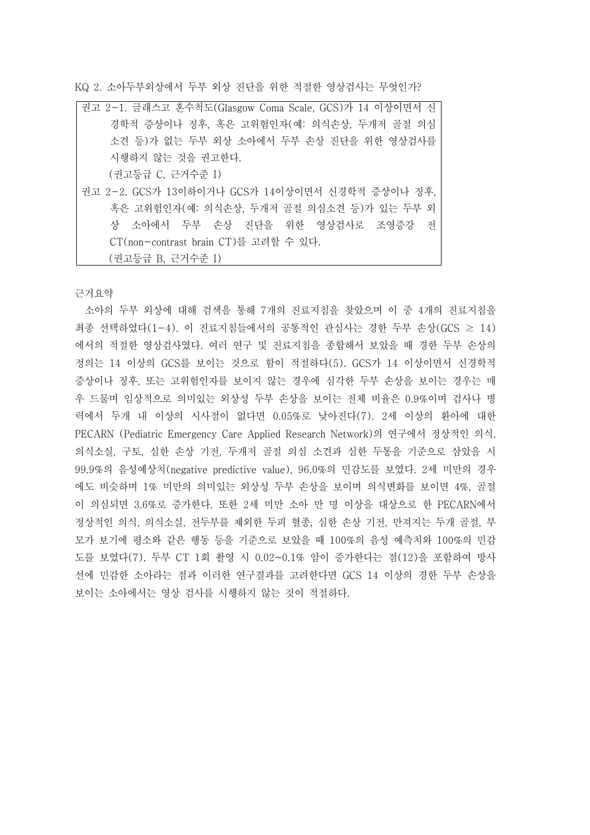KQ 2. 소아두부외상에서 두부 외상 진단을 위한 적절한 영상검사는 무엇인가?

| 권고 2-1. 글래스고 혼수척도(Glasgow Coma Scale, GCS)가 14 이상이면서 신 |
|--------------------------------------------------------|
| 경학적 증상이나 징후, 혹은 고위험인자(예: 의식손상, 두개저 골절 의심               |
| 소견 등)가 없는 두부 외상 소아에서 두부 손상 진단을 위한 영상검사를                |
| 시행하지 않는 것을 권고한다.                                       |
| (권고등급 C, 근거수준 I)                                       |
| 권고 2-2. GCS가 13이하이거나 GCS가 14이상이면서 신경학적 증상이나 징후.        |
| 혹은 고위험인자(예: 의식손상, 두개저 골절 의심소견 등)가 있는 두부 외              |
| 상 소아에서 두부 손상 진단을 위한 영상검사로 조영증강 전                       |
| CT(non-contrast brain CT)를 고려할 수 있다.                   |
| (권고등급 B, 근거수준 I)                                       |

근거요약

소아의 두부 외상에 대해 검색을 통해 7개의 진료지침을 찾았으며 이 중 4개의 진료지침을 최종 선택하였다(1-4). 이 진료지침들에서의 공통적인 관심사는 경한 두부 손상(GCS ≥ 14) 에서의 적절한 영상검사였다. 여러 연구 및 진료지침을 종합해서 보았을 때 경한 두부 손상의 정의는 14 이상의 GCS를 보이는 것으로 함이 적절하다(5). GCS가 14 이상이면서 신경학적 증상이나 징후, 또는 고위험인자를 보이지 않는 경우에 심각한 두부 손상을 보이는 경우는 매 우 드물며 임상적으로 의미있는 외상성 두부 손상을 보이는 전체 비율은 0.9%이며 검사나 병 력에서 두개 내 이상의 시사점이 없다면 0.05%로 낮아진다(7). 2세 이상의 환아에 대한 PECARN (Pediatric Emergency Care Applied Research Network)의 연구에서 정상적인 의식,<br>의식소실, 구토, 심한 손상 기전, 두개저 골절 의심 소견과 심한 두통을 기준으로 삼았을 시 99.9%의 음성예상치(negative predictive value), 96.0%의 민감도를 보였다. 2세 미만의 경우 에도 비슷하며 1% 미만의 의미있는 외상성 두부 손상을 보이며 의식변화를 보이면 4%, 골절 이 의심되면 3.6%로 증가한다. 또한 2세 미만 소아 만 명 이상을 대상으로 한 PECARN에서 정상적인 의식, 의식소실, 전두부를 제외한 두피 혈종, 심한 손상 기전, 만져지는 두개 골절, 부 모가 보기에 평소와 같은 행동 등을 기준으로 보았을 때 100%의 음성 예측치와 100%의 민감 도를 보였다(7). 두부 CT 1회 촬영 시 0.02~0.1% 암이 증가한다는 점(12)을 포함하여 방사 선에 민감한 소아라는 점과 이러한 연구결과를 고려한다면 GCS 14 이상의 경한 두부 손상을 보이는 소아에서는 영상 검사를 시행하지 않는 것이 적절하다.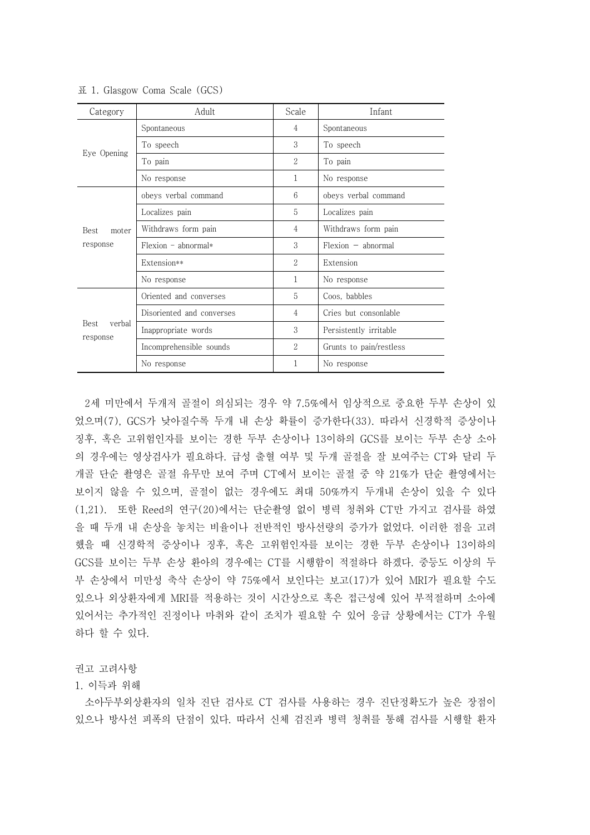| Category                         | Adult                     | Scale          | Infant                  |
|----------------------------------|---------------------------|----------------|-------------------------|
| Eye Opening                      | Spontaneous               | $\overline{4}$ | Spontaneous             |
|                                  | To speech                 | 3              | To speech               |
|                                  | To pain                   | $\overline{2}$ | To pain                 |
|                                  | No response               | 1              | No response             |
| <b>Best</b><br>moter<br>response | obeys verbal command      | 6              | obeys verbal command    |
|                                  | Localizes pain            | 5              | Localizes pain          |
|                                  | Withdraws form pain       | $\overline{4}$ | Withdraws form pain     |
|                                  | $Flexion - abnormal*$     | 3              | $Flexion - abnormal$    |
|                                  | Extension**               | $\overline{2}$ | Extension               |
|                                  | No response               | 1              | No response             |
| Best<br>verbal<br>response       | Oriented and converses    | 5              | Coos, babbles           |
|                                  | Disoriented and converses | $\overline{4}$ | Cries but consonlable   |
|                                  | Inappropriate words       | 3              | Persistently irritable  |
|                                  | Incomprehensible sounds   | $\overline{2}$ | Grunts to pain/restless |
|                                  | No response               | 1              | No response             |

표 1. Glasgow Coma Scale (GCS)

2세 미만에서 두개저 골절이 의심되는 경우 약 7.5%에서 임상적으로 중요한 두부 손상이 있 었으며(7), GCS가 낮아질수록 두개 내 손상 확률이 증가한다(33). 따라서 신경학적 증상이나 징후, 혹은 고위험인자를 보이는 경한 두부 손상이나 13이하의 GCS를 보이는 두부 손상 소아 의 경우에는 영상검사가 필요하다. 급성 출혈 여부 및 두개 골절을 잘 보여주는 CT와 달리 두 개골 단순 촬영은 골절 유무만 보여 주며 CT에서 보이는 골절 중 약 21%가 단순 촬영에서는 보이지 않을 수 있으며, 골절이 없는 경우에도 최대 50%까지 두개내 손상이 있을 수 있다 (1,21). 또한 Reed의 연구(20)에서는 단순촬영 없이 병력 청취와 CT만 가지고 검사를 하였 을 때 두개 내 손상을 놓치는 비율이나 전반적인 방사선량의 증가가 없었다. 이러한 점을 고려 했을 때 신경학적 증상이나 징후, 혹은 고위험인자를 보이는 경한 두부 손상이나 13이하의 GCS를 보이는 두부 손상 환아의 경우에는 CT를 시행함이 적절하다 하겠다. 중등도 이상의 두 부 손상에서 미만성 축삭 손상이 약 75%에서 보인다는 보고(17)가 있어 MRI가 필요할 수도 있으나 외상환자에게 MRI를 적용하는 것이 시간상으로 혹은 접근성에 있어 부적절하며 소아에 있어서는 추가적인 진정이나 마취와 같이 조치가 필요할 수 있어 응급 상황에서는 CT가 우월 하다 할 수 있다.

## 권고 고려사항

## 1. 이득과 위해

소아두부외상환자의 일차 진단 검사로 CT 검사를 사용하는 경우 진단정확도가 높은 장점이 있으나 방사선 피폭의 단점이 있다. 따라서 신체 검진과 병력 청취를 통해 검사를 시행할 환자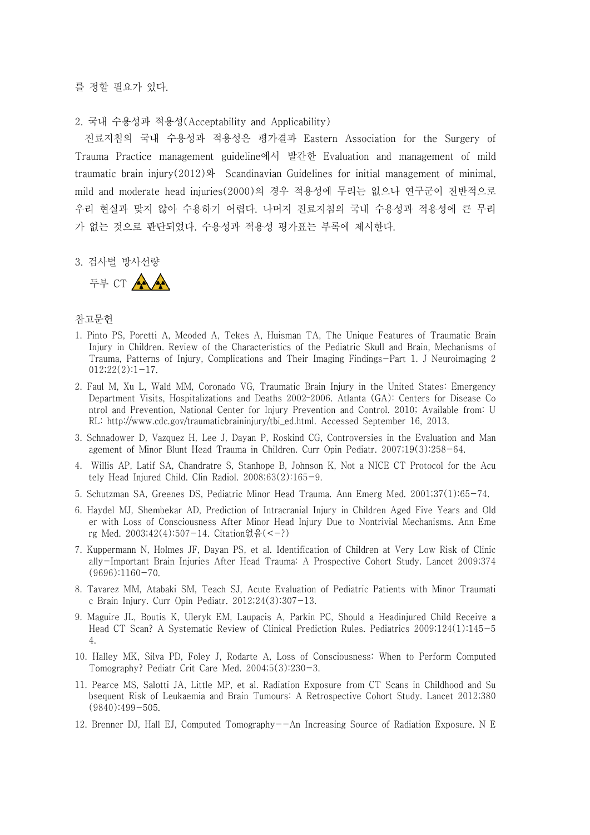를 정할 필요가 있다.

2. 국내 수용성과 적용성(Acceptability and Applicability)

진료지침의 국내 수용성과 적용성은 평가결과 Eastern Association for the Surgery of Trauma Practice management guideline에서 발간한 Evaluation and management of mild traumatic brain injury(2012)와 Scandinavian Guidelines for initial management of minimal, mild and moderate head injuries(2000)의 경우 적용성에 무리는 없으나 연구군이 전반적으로 우리 현실과 맞지 않아 수용하기 어렵다. 나머지 진료지침의 국내 수용성과 적용성에 큰 무리 가 없는 것으로 판단되었다. 수용성과 적용성 평가표는 부록에 제시한다.

3. 검사별 방사선량



- 1. Pinto PS, Poretti A, Meoded A, Tekes A, Huisman TA, The Unique Features of Traumatic Brain Injury in Children. Review of the Characteristics of the Pediatric Skull and Brain, Mechanisms of Trauma, Patterns of Injury, Complications and Their Imaging Findings-Part 1. J Neuroimaging 2  $012;22(2):1-17.$
- 2. Faul M, Xu L, Wald MM, Coronado VG, Traumatic Brain Injury in the United States: Emergency Department Visits, Hospitalizations and Deaths 2002–2006. Atlanta (GA): Centers for Disease Co ntrol and Prevention, National Center for Injury Prevention and Control. 2010; Available from: U RL: http://www.cdc.gov/traumaticbraininjury/tbi\_ed.html. Accessed September 16, 2013.
- 3. Schnadower D, Vazquez H, Lee J, Dayan P, Roskind CG, Controversies in the Evaluation and Man agement of Minor Blunt Head Trauma in Children. Curr Opin Pediatr. 2007;19(3):258-64.
- 4. Willis AP, Latif SA, Chandratre S, Stanhope B, Johnson K, Not a NICE CT Protocol for the Acu tely Head Injured Child. Clin Radiol. 2008;63(2):165-9.
- 5. Schutzman SA, Greenes DS, Pediatric Minor Head Trauma. Ann Emerg Med. 2001;37(1):65-74.
- 6. Haydel MJ, Shembekar AD, Prediction of Intracranial Injury in Children Aged Five Years and Old er with Loss of Consciousness After Minor Head Injury Due to Nontrivial Mechanisms. Ann Eme rg Med. 2003;42(4):507-14. Citation없음(<-?)
- 7. Kuppermann N, Holmes JF, Dayan PS, et al. Identification of Children at Very Low Risk of Clinic ally-Important Brain Injuries After Head Trauma: A Prospective Cohort Study. Lancet 2009;374 (9696):1160-70.
- 8. Tavarez MM, Atabaki SM, Teach SJ, Acute Evaluation of Pediatric Patients with Minor Traumati c Brain Injury. Curr Opin Pediatr. 2012;24(3):307-13.
- 9. Maguire JL, Boutis K, Uleryk EM, Laupacis A, Parkin PC, Should a Headinjured Child Receive a Head CT Scan? A Systematic Review of Clinical Prediction Rules. Pediatrics 2009;124(1):145-5 4.
- 10. Halley MK, Silva PD, Foley J, Rodarte A, Loss of Consciousness: When to Perform Computed Tomography? Pediatr Crit Care Med. 2004;5(3):230-3.
- 11. Pearce MS, Salotti JA, Little MP, et al. Radiation Exposure from CT Scans in Childhood and Su bsequent Risk of Leukaemia and Brain Tumours: A Retrospective Cohort Study. Lancet 2012;380 (9840):499-505.
- 12. Brenner DJ, Hall EJ, Computed Tomography--An Increasing Source of Radiation Exposure. N E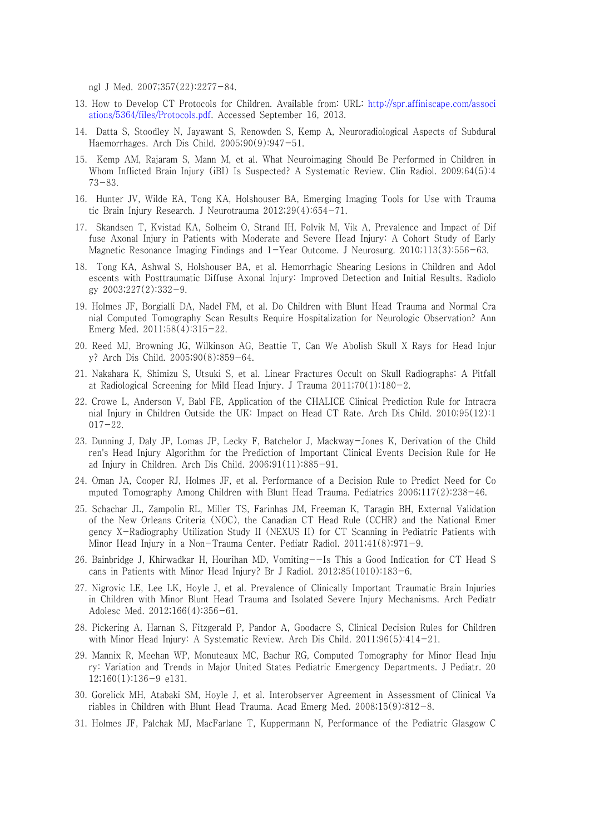ngl J Med. 2007;357(22):2277-84.

- 13. How to Develop CT Protocols for Children. Available from: URL: http://spr.affiniscape.com/associ ations/5364/files/Protocols.pdf. Accessed September 16, 2013.
- 14. Datta S, Stoodley N, Jayawant S, Renowden S, Kemp A, Neuroradiological Aspects of Subdural Haemorrhages. Arch Dis Child. 2005;90(9):947-51.
- 15. Kemp AM, Rajaram S, Mann M, et al. What Neuroimaging Should Be Performed in Children in Whom Inflicted Brain Injury (iBI) Is Suspected? A Systematic Review. Clin Radiol. 2009;64(5):4 73-83.
- 16. Hunter JV, Wilde EA, Tong KA, Holshouser BA, Emerging Imaging Tools for Use with Trauma tic Brain Injury Research. J Neurotrauma 2012;29(4):654-71.
- 17. Skandsen T, Kvistad KA, Solheim O, Strand IH, Folvik M, Vik A, Prevalence and Impact of Dif fuse Axonal Injury in Patients with Moderate and Severe Head Injury: A Cohort Study of Early Magnetic Resonance Imaging Findings and 1-Year Outcome. J Neurosurg. 2010;113(3):556-63.
- 18. Tong KA, Ashwal S, Holshouser BA, et al. Hemorrhagic Shearing Lesions in Children and Adol escents with Posttraumatic Diffuse Axonal Injury: Improved Detection and Initial Results. Radiolo gy 2003;227(2):332-9.
- 19. Holmes JF, Borgialli DA, Nadel FM, et al. Do Children with Blunt Head Trauma and Normal Cra nial Computed Tomography Scan Results Require Hospitalization for Neurologic Observation? Ann Emerg Med. 2011;58(4):315-22.
- 20. Reed MJ, Browning JG, Wilkinson AG, Beattie T, Can We Abolish Skull X Rays for Head Injur y? Arch Dis Child. 2005;90(8):859-64.
- 21. Nakahara K, Shimizu S, Utsuki S, et al. Linear Fractures Occult on Skull Radiographs: A Pitfall at Radiological Screening for Mild Head Injury. J Trauma 2011;70(1):180-2.
- 22. Crowe L, Anderson V, Babl FE, Application of the CHALICE Clinical Prediction Rule for Intracra nial Injury in Children Outside the UK: Impact on Head CT Rate. Arch Dis Child. 2010;95(12):1 017-22.
- 23. Dunning J, Daly JP, Lomas JP, Lecky F, Batchelor J, Mackway-Jones K, Derivation of the Child ren's Head Injury Algorithm for the Prediction of Important Clinical Events Decision Rule for He ad Injury in Children. Arch Dis Child. 2006;91(11):885-91.
- 24. Oman JA, Cooper RJ, Holmes JF, et al. Performance of a Decision Rule to Predict Need for Co mputed Tomography Among Children with Blunt Head Trauma. Pediatrics 2006;117(2):238-46.
- 25. Schachar JL, Zampolin RL, Miller TS, Farinhas JM, Freeman K, Taragin BH, External Validation of the New Orleans Criteria (NOC), the Canadian CT Head Rule (CCHR) and the National Emer gency X-Radiography Utilization Study II (NEXUS II) for CT Scanning in Pediatric Patients with Minor Head Injury in a Non-Trauma Center. Pediatr Radiol. 2011;41(8):971-9.
- 26. Bainbridge J, Khirwadkar H, Hourihan MD, Vomiting--Is This a Good Indication for CT Head S cans in Patients with Minor Head Injury? Br J Radiol. 2012;85(1010):183-6.
- 27. Nigrovic LE, Lee LK, Hoyle J, et al. Prevalence of Clinically Important Traumatic Brain Injuries in Children with Minor Blunt Head Trauma and Isolated Severe Injury Mechanisms. Arch Pediatr Adolesc Med. 2012;166(4):356-61.
- 28. Pickering A, Harnan S, Fitzgerald P, Pandor A, Goodacre S, Clinical Decision Rules for Children with Minor Head Injury: A Systematic Review. Arch Dis Child. 2011;96(5):414-21.
- 29. Mannix R, Meehan WP, Monuteaux MC, Bachur RG, Computed Tomography for Minor Head Inju ry: Variation and Trends in Major United States Pediatric Emergency Departments. J Pediatr. 20 12;160(1):136-9 e131.
- 30. Gorelick MH, Atabaki SM, Hoyle J, et al. Interobserver Agreement in Assessment of Clinical Va riables in Children with Blunt Head Trauma. Acad Emerg Med. 2008;15(9):812-8.
- 31. Holmes JF, Palchak MJ, MacFarlane T, Kuppermann N, Performance of the Pediatric Glasgow C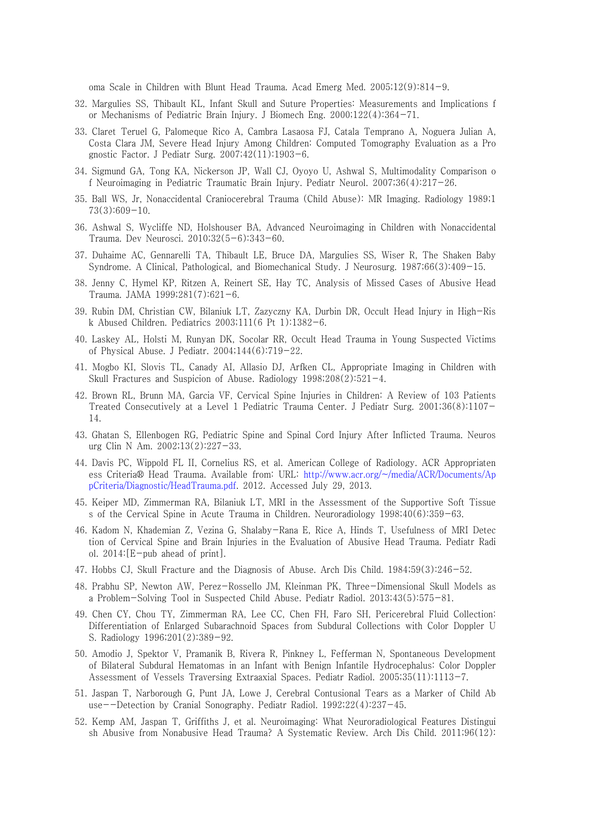oma Scale in Children with Blunt Head Trauma. Acad Emerg Med. 2005;12(9):814-9.

- 32. Margulies SS, Thibault KL, Infant Skull and Suture Properties: Measurements and Implications f or Mechanisms of Pediatric Brain Injury. J Biomech Eng. 2000;122(4):364-71.
- 33. Claret Teruel G, Palomeque Rico A, Cambra Lasaosa FJ, Catala Temprano A, Noguera Julian A, Costa Clara JM, Severe Head Injury Among Children: Computed Tomography Evaluation as a Pro gnostic Factor. J Pediatr Surg. 2007;42(11):1903-6.
- 34. Sigmund GA, Tong KA, Nickerson JP, Wall CJ, Oyoyo U, Ashwal S, Multimodality Comparison o f Neuroimaging in Pediatric Traumatic Brain Injury. Pediatr Neurol. 2007;36(4):217-26.
- 35. Ball WS, Jr, Nonaccidental Craniocerebral Trauma (Child Abuse): MR Imaging. Radiology 1989;1  $73(3):609-10.$
- 36. Ashwal S, Wycliffe ND, Holshouser BA, Advanced Neuroimaging in Children with Nonaccidental Trauma. Dev Neurosci. 2010;32(5-6):343-60.
- 37. Duhaime AC, Gennarelli TA, Thibault LE, Bruce DA, Margulies SS, Wiser R, The Shaken Baby Syndrome. A Clinical, Pathological, and Biomechanical Study. J Neurosurg. 1987;66(3):409-15.
- 38. Jenny C, Hymel KP, Ritzen A, Reinert SE, Hay TC, Analysis of Missed Cases of Abusive Head Trauma. JAMA 1999;281(7):621-6.
- 39. Rubin DM, Christian CW, Bilaniuk LT, Zazyczny KA, Durbin DR, Occult Head Injury in High-Ris k Abused Children. Pediatrics 2003;111(6 Pt 1):1382-6.
- 40. Laskey AL, Holsti M, Runyan DK, Socolar RR, Occult Head Trauma in Young Suspected Victims of Physical Abuse. J Pediatr. 2004;144(6):719-22.
- 41. Mogbo KI, Slovis TL, Canady AI, Allasio DJ, Arfken CL, Appropriate Imaging in Children with Skull Fractures and Suspicion of Abuse. Radiology 1998;208(2):521-4.
- 42. Brown RL, Brunn MA, Garcia VF, Cervical Spine Injuries in Children: A Review of 103 Patients Treated Consecutively at a Level 1 Pediatric Trauma Center. J Pediatr Surg. 2001;36(8):1107- 14.
- 43. Ghatan S, Ellenbogen RG, Pediatric Spine and Spinal Cord Injury After Inflicted Trauma. Neuros urg Clin N Am. 2002;13(2):227-33.
- 44. Davis PC, Wippold FL II, Cornelius RS, et al. American College of Radiology. ACR Appropriaten ess Criteria® Head Trauma. Available from: URL: http://www.acr.org/~/media/ACR/Documents/Ap pCriteria/Diagnostic/HeadTrauma.pdf. 2012. Accessed July 29, 2013.
- 45. Keiper MD, Zimmerman RA, Bilaniuk LT, MRI in the Assessment of the Supportive Soft Tissue s of the Cervical Spine in Acute Trauma in Children. Neuroradiology 1998;40(6):359-63.
- 46. Kadom N, Khademian Z, Vezina G, Shalaby-Rana E, Rice A, Hinds T, Usefulness of MRI Detec tion of Cervical Spine and Brain Injuries in the Evaluation of Abusive Head Trauma. Pediatr Radi ol. 2014:[E-pub ahead of print].
- 47. Hobbs CJ, Skull Fracture and the Diagnosis of Abuse. Arch Dis Child. 1984;59(3):246-52.
- 48. Prabhu SP, Newton AW, Perez-Rossello JM, Kleinman PK, Three-Dimensional Skull Models as a Problem-Solving Tool in Suspected Child Abuse. Pediatr Radiol. 2013;43(5):575-81.
- 49. Chen CY, Chou TY, Zimmerman RA, Lee CC, Chen FH, Faro SH, Pericerebral Fluid Collection: Differentiation of Enlarged Subarachnoid Spaces from Subdural Collections with Color Doppler U S. Radiology 1996;201(2):389-92.
- 50. Amodio J, Spektor V, Pramanik B, Rivera R, Pinkney L, Fefferman N, Spontaneous Development of Bilateral Subdural Hematomas in an Infant with Benign Infantile Hydrocephalus: Color Doppler Assessment of Vessels Traversing Extraaxial Spaces. Pediatr Radiol. 2005;35(11):1113-7.
- 51. Jaspan T, Narborough G, Punt JA, Lowe J, Cerebral Contusional Tears as a Marker of Child Ab use--Detection by Cranial Sonography. Pediatr Radiol. 1992;22(4):237-45.
- 52. Kemp AM, Jaspan T, Griffiths J, et al. Neuroimaging: What Neuroradiological Features Distingui sh Abusive from Nonabusive Head Trauma? A Systematic Review. Arch Dis Child. 2011;96(12):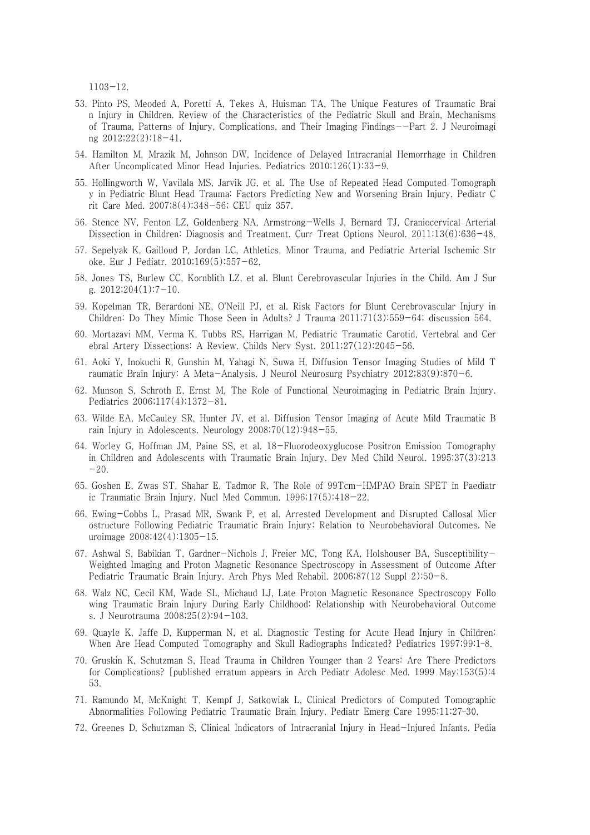1103-12.

- 53. Pinto PS, Meoded A, Poretti A, Tekes A, Huisman TA, The Unique Features of Traumatic Brai n Injury in Children. Review of the Characteristics of the Pediatric Skull and Brain, Mechanisms of Trauma, Patterns of Injury, Complications, and Their Imaging Findings--Part 2. J Neuroimagi ng 2012;22(2):18-41.
- 54. Hamilton M, Mrazik M, Johnson DW, Incidence of Delayed Intracranial Hemorrhage in Children After Uncomplicated Minor Head Injuries. Pediatrics 2010;126(1):33-9.
- 55. Hollingworth W, Vavilala MS, Jarvik JG, et al. The Use of Repeated Head Computed Tomograph y in Pediatric Blunt Head Trauma: Factors Predicting New and Worsening Brain Injury. Pediatr C rit Care Med. 2007;8(4):348-56; CEU quiz 357.
- 56. Stence NV, Fenton LZ, Goldenberg NA, Armstrong-Wells J, Bernard TJ, Craniocervical Arterial Dissection in Children: Diagnosis and Treatment. Curr Treat Options Neurol. 2011;13(6):636-48.
- 57. Sepelyak K, Gailloud P, Jordan LC, Athletics, Minor Trauma, and Pediatric Arterial Ischemic Str oke. Eur J Pediatr. 2010;169(5):557-62.
- 58. Jones TS, Burlew CC, Kornblith LZ, et al. Blunt Cerebrovascular Injuries in the Child. Am J Sur g.  $2012;204(1):7-10$ .
- 59. Kopelman TR, Berardoni NE, O'Neill PJ, et al. Risk Factors for Blunt Cerebrovascular Injury in Children: Do They Mimic Those Seen in Adults? J Trauma 2011;71(3):559-64; discussion 564.
- 60. Mortazavi MM, Verma K, Tubbs RS, Harrigan M, Pediatric Traumatic Carotid, Vertebral and Cer ebral Artery Dissections: A Review. Childs Nerv Syst. 2011;27(12):2045-56.
- 61. Aoki Y, Inokuchi R, Gunshin M, Yahagi N, Suwa H, Diffusion Tensor Imaging Studies of Mild T raumatic Brain Injury: A Meta-Analysis. J Neurol Neurosurg Psychiatry 2012;83(9):870-6.
- 62. Munson S, Schroth E, Ernst M, The Role of Functional Neuroimaging in Pediatric Brain Injury. Pediatrics 2006;117(4):1372-81.
- 63. Wilde EA, McCauley SR, Hunter JV, et al. Diffusion Tensor Imaging of Acute Mild Traumatic B rain Injury in Adolescents. Neurology 2008;70(12):948-55.
- 64. Worley G, Hoffman JM, Paine SS, et al. 18-Fluorodeoxyglucose Positron Emission Tomography in Children and Adolescents with Traumatic Brain Injury. Dev Med Child Neurol. 1995;37(3):213  $-20.$
- 65. Goshen E, Zwas ST, Shahar E, Tadmor R, The Role of 99Tcm-HMPAO Brain SPET in Paediatr ic Traumatic Brain Injury. Nucl Med Commun. 1996;17(5):418-22.
- 66. Ewing-Cobbs L, Prasad MR, Swank P, et al. Arrested Development and Disrupted Callosal Micr ostructure Following Pediatric Traumatic Brain Injury: Relation to Neurobehavioral Outcomes. Ne uroimage 2008;42(4):1305-15.
- 67. Ashwal S, Babikian T, Gardner-Nichols J, Freier MC, Tong KA, Holshouser BA, Susceptibility-Weighted Imaging and Proton Magnetic Resonance Spectroscopy in Assessment of Outcome After Pediatric Traumatic Brain Injury. Arch Phys Med Rehabil. 2006;87(12 Suppl 2):50-8.
- 68. Walz NC, Cecil KM, Wade SL, Michaud LJ, Late Proton Magnetic Resonance Spectroscopy Follo wing Traumatic Brain Injury During Early Childhood: Relationship with Neurobehavioral Outcome s. J Neurotrauma 2008;25(2):94-103.
- 69. Quayle K, Jaffe D, Kupperman N, et al. Diagnostic Testing for Acute Head Injury in Children: When Are Head Computed Tomography and Skull Radiographs Indicated? Pediatrics 1997;99:1–8.
- 70. Gruskin K, Schutzman S, Head Trauma in Children Younger than 2 Years: Are There Predictors for Complications? [published erratum appears in Arch Pediatr Adolesc Med. 1999 May;153(5):4 53.
- 71. Ramundo M, McKnight T, Kempf J, Satkowiak L, Clinical Predictors of Computed Tomographic Abnormalities Following Pediatric Traumatic Brain Injury. Pediatr Emerg Care 1995;11:27–30.
- 72. Greenes D, Schutzman S, Clinical Indicators of Intracranial Injury in Head-Injured Infants. Pedia